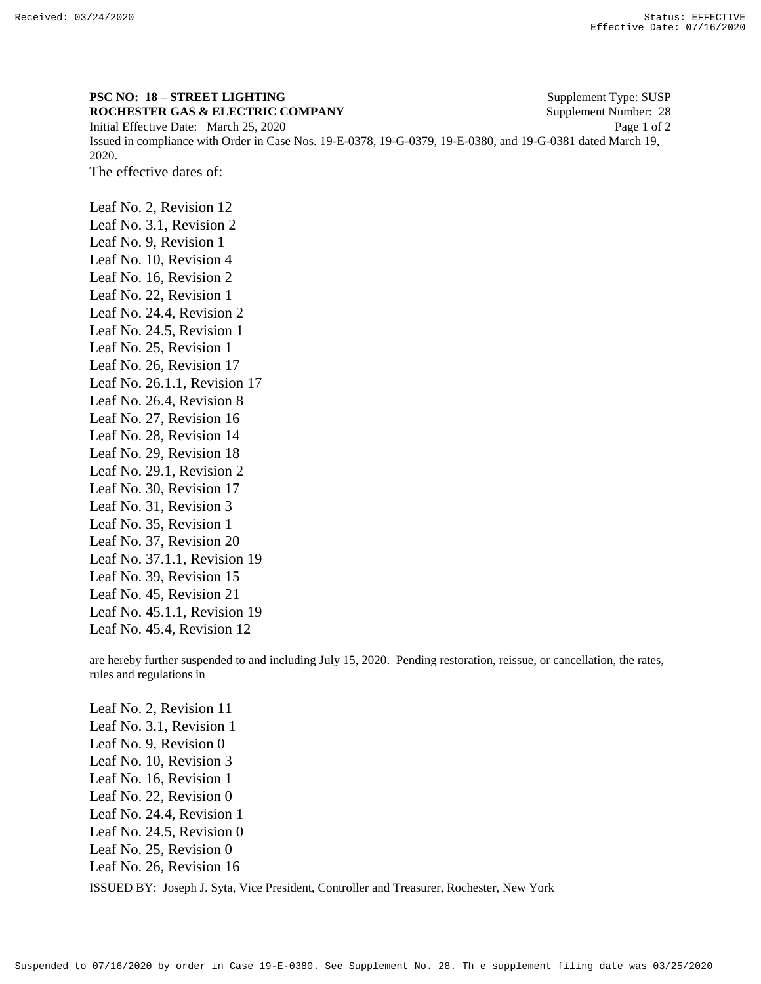## **PSC NO: 18 – STREET LIGHTING** Supplement Type: SUSP **ROCHESTER GAS & ELECTRIC COMPANY** Supplement Number: 28

Initial Effective Date: March 25, 2020 Page 1 of 2 Issued in compliance with Order in Case Nos. 19-E-0378, 19-G-0379, 19-E-0380, and 19-G-0381 dated March 19, 2020.

The effective dates of:

Leaf No. 2, Revision 12 Leaf No. 3.1, Revision 2 Leaf No. 9, Revision 1 Leaf No. 10, Revision 4 Leaf No. 16, Revision 2 Leaf No. 22, Revision 1 Leaf No. 24.4, Revision 2 Leaf No. 24.5, Revision 1 Leaf No. 25, Revision 1 Leaf No. 26, Revision 17 Leaf No. 26.1.1, Revision 17 Leaf No. 26.4, Revision 8 Leaf No. 27, Revision 16 Leaf No. 28, Revision 14 Leaf No. 29, Revision 18 Leaf No. 29.1, Revision 2 Leaf No. 30, Revision 17 Leaf No. 31, Revision 3 Leaf No. 35, Revision 1 Leaf No. 37, Revision 20 Leaf No. 37.1.1, Revision 19 Leaf No. 39, Revision 15 Leaf No. 45, Revision 21 Leaf No. 45.1.1, Revision 19 Leaf No. 45.4, Revision 12

are hereby further suspended to and including July 15, 2020. Pending restoration, reissue, or cancellation, the rates, rules and regulations in

ISSUED BY: Joseph J. Syta, Vice President, Controller and Treasurer, Rochester, New York Leaf No. 2, Revision 11 Leaf No. 3.1, Revision 1 Leaf No. 9, Revision 0 Leaf No. 10, Revision 3 Leaf No. 16, Revision 1 Leaf No. 22, Revision 0 Leaf No. 24.4, Revision 1 Leaf No. 24.5, Revision 0 Leaf No. 25, Revision 0 Leaf No. 26, Revision 16